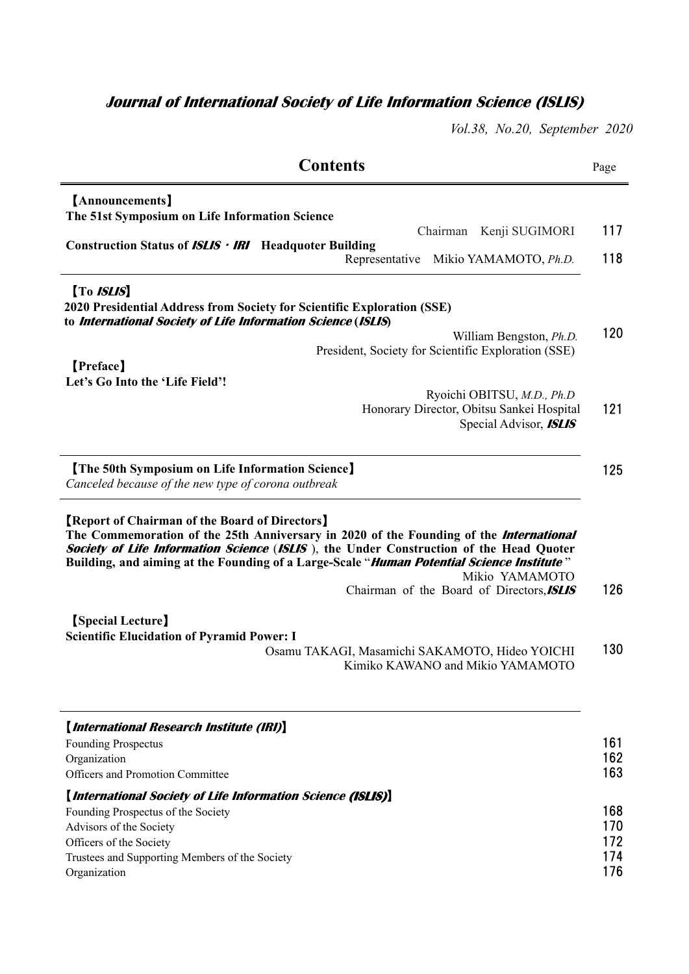## **Journal of International Society of Life Information Science (ISLIS)**

*Vol.38, No.20, September 2020* 

| <b>Contents</b>                                                                                                     |                                                                                                                                                                                                                                                                                                                 | Page              |
|---------------------------------------------------------------------------------------------------------------------|-----------------------------------------------------------------------------------------------------------------------------------------------------------------------------------------------------------------------------------------------------------------------------------------------------------------|-------------------|
| [Announcements]<br>The 51st Symposium on Life Information Science                                                   |                                                                                                                                                                                                                                                                                                                 | 117               |
| <b>Construction Status of <math>ISLIS \cdot IRI</math></b> Headquoter Building                                      | Chairman Kenji SUGIMORI<br>Representative<br>Mikio YAMAMOTO, Ph.D.                                                                                                                                                                                                                                              | 118               |
| [To <i>ISLIS</i> ]<br>to International Society of Life Information Science (ISLIS)                                  | 2020 Presidential Address from Society for Scientific Exploration (SSE)                                                                                                                                                                                                                                         |                   |
| [Preface]                                                                                                           | William Bengston, <i>Ph.D.</i><br>President, Society for Scientific Exploration (SSE)                                                                                                                                                                                                                           | 120               |
| Let's Go Into the 'Life Field'!                                                                                     | Ryoichi OBITSU, M.D., Ph.D<br>Honorary Director, Obitsu Sankei Hospital<br>Special Advisor, <b>ISLIS</b>                                                                                                                                                                                                        | 121               |
| [The 50th Symposium on Life Information Science]<br>Canceled because of the new type of corona outbreak             |                                                                                                                                                                                                                                                                                                                 | 125               |
|                                                                                                                     |                                                                                                                                                                                                                                                                                                                 |                   |
| <b>[Report of Chairman of the Board of Directors]</b>                                                               | The Commemoration of the 25th Anniversary in 2020 of the Founding of the <i>International</i><br>Society of Life Information Science (ISLIS), the Under Construction of the Head Quoter<br>Building, and aiming at the Founding of a Large-Scale " <i>Human Potential Science Institute</i> "<br>Mikio YAMAMOTO |                   |
| <b>[Special Lecture]</b><br><b>Scientific Elucidation of Pyramid Power: I</b>                                       | Chairman of the Board of Directors, ISLIS                                                                                                                                                                                                                                                                       | 126               |
|                                                                                                                     | Osamu TAKAGI, Masamichi SAKAMOTO, Hideo YOICHI<br>Kimiko KAWANO and Mikio YAMAMOTO                                                                                                                                                                                                                              | 130               |
| [International Research Institute (IRI)]<br>Founding Prospectus<br>Organization<br>Officers and Promotion Committee |                                                                                                                                                                                                                                                                                                                 | 161<br>162<br>163 |